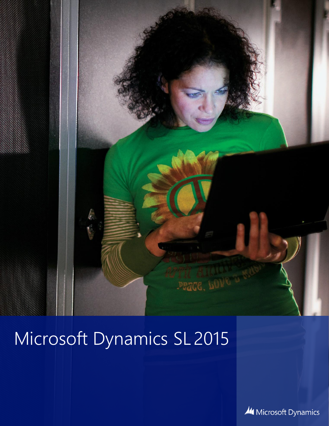

Microsoft Dynamics SL 2015

Microsoft Dynamics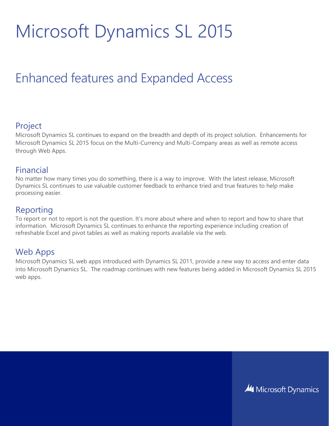# Microsoft Dynamics SL 2015

# Enhanced features and Expanded Access

### Project

Microsoft Dynamics SL continues to expand on the breadth and depth of its project solution. Enhancements for Microsoft Dynamics SL 2015 focus on the Multi-Currency and Multi-Company areas as well as remote access through Web Apps.

#### Financial

No matter how many times you do something, there is a way to improve. With the latest release, Microsoft Dynamics SL continues to use valuable customer feedback to enhance tried and true features to help make processing easier.

# Reporting

To report or not to report is not the question. It's more about where and when to report and how to share that information. Microsoft Dynamics SL continues to enhance the reporting experience including creation of refreshable Excel and pivot tables as well as making reports available via the web.

# Web Apps

Microsoft Dynamics SL web apps introduced with Dynamics SL 2011, provide a new way to access and enter data into Microsoft Dynamics SL. The roadmap continues with new features being added in Microsoft Dynamics SL 2015 web apps.

**44 Microsoft Dynamics**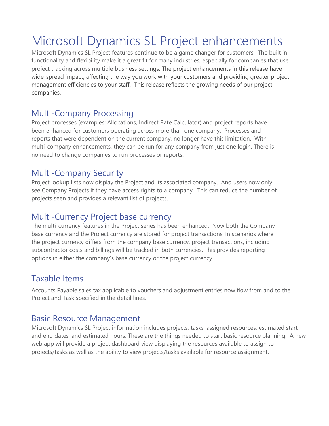# Microsoft Dynamics SL Project enhancements

Microsoft Dynamics SL Project features continue to be a game changer for customers. The built in functionality and flexibility make it a great fit for many industries, especially for companies that use project tracking across multiple business settings. The project enhancements in this release have wide-spread impact, affecting the way you work with your customers and providing greater project management efficiencies to your staff. This release reflects the growing needs of our project companies.

# Multi-Company Processing

Project processes (examples: Allocations, Indirect Rate Calculator) and project reports have been enhanced for customers operating across more than one company. Processes and reports that were dependent on the current company, no longer have this limitation. With multi-company enhancements, they can be run for any company from just one login. There is no need to change companies to run processes or reports.

# Multi-Company Security

Project lookup lists now display the Project and its associated company. And users now only see Company Projects if they have access rights to a company. This can reduce the number of projects seen and provides a relevant list of projects.

# Multi-Currency Project base currency

The multi-currency features in the Project series has been enhanced. Now both the Company base currency and the Project currency are stored for project transactions. In scenarios where the project currency differs from the company base currency, project transactions, including subcontractor costs and billings will be tracked in both currencies. This provides reporting options in either the company's base currency or the project currency.

# Taxable Items

Accounts Payable sales tax applicable to vouchers and adjustment entries now flow from and to the Project and Task specified in the detail lines.

# Basic Resource Management

Microsoft Dynamics SL Project information includes projects, tasks, assigned resources, estimated start and end dates, and estimated hours. These are the things needed to start basic resource planning. A new web app will provide a project dashboard view displaying the resources available to assign to projects/tasks as well as the ability to view projects/tasks available for resource assignment.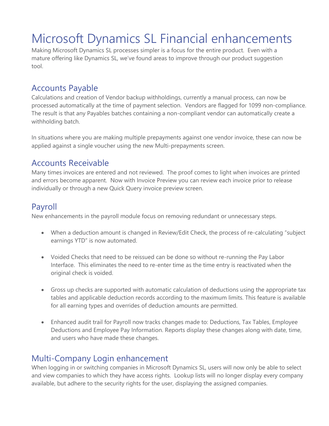# Microsoft Dynamics SL Financial enhancements

Making Microsoft Dynamics SL processes simpler is a focus for the entire product. Even with a mature offering like Dynamics SL, we've found areas to improve through our product suggestion tool.

### Accounts Payable

Calculations and creation of Vendor backup withholdings, currently a manual process, can now be processed automatically at the time of payment selection. Vendors are flagged for 1099 non-compliance. The result is that any Payables batches containing a non-compliant vendor can automatically create a withholding batch.

In situations where you are making multiple prepayments against one vendor invoice, these can now be applied against a single voucher using the new Multi-prepayments screen.

#### Accounts Receivable

Many times invoices are entered and not reviewed. The proof comes to light when invoices are printed and errors become apparent. Now with Invoice Preview you can review each invoice prior to release individually or through a new Quick Query invoice preview screen.

# Payroll

New enhancements in the payroll module focus on removing redundant or unnecessary steps.

- When a deduction amount is changed in Review/Edit Check, the process of re-calculating "subject earnings YTD" is now automated.
- Voided Checks that need to be reissued can be done so without re-running the Pay Labor Interface. This eliminates the need to re-enter time as the time entry is reactivated when the original check is voided.
- Gross up checks are supported with automatic calculation of deductions using the appropriate tax tables and applicable deduction records according to the maximum limits. This feature is available for all earning types and overrides of deduction amounts are permitted.
- Enhanced audit trail for Payroll now tracks changes made to: Deductions, Tax Tables, Employee Deductions and Employee Pay Information. Reports display these changes along with date, time, and users who have made these changes.

# Multi-Company Login enhancement

When logging in or switching companies in Microsoft Dynamics SL, users will now only be able to select and view companies to which they have access rights. Lookup lists will no longer display every company available, but adhere to the security rights for the user, displaying the assigned companies.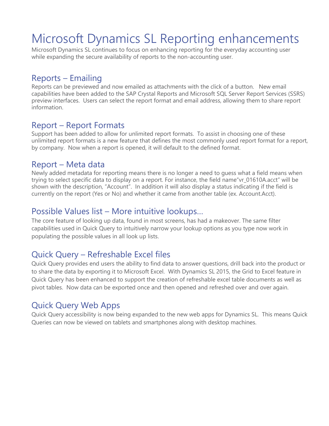# Microsoft Dynamics SL Reporting enhancements

Microsoft Dynamics SL continues to focus on enhancing reporting for the everyday accounting user while expanding the secure availability of reports to the non-accounting user.

#### Reports – Emailing

Reports can be previewed and now emailed as attachments with the click of a button. New email capabilities have been added to the SAP Crystal Reports and Microsoft SQL Server Report Services (SSRS) preview interfaces. Users can select the report format and email address, allowing them to share report information.

#### Report – Report Formats

Support has been added to allow for unlimited report formats. To assist in choosing one of these unlimited report formats is a new feature that defines the most commonly used report format for a report, by company. Now when a report is opened, it will default to the defined format.

#### Report – Meta data

Newly added metadata for reporting means there is no longer a need to guess what a field means when trying to select specific data to display on a report. For instance, the field name" vr 01610A.acct" will be shown with the description, "Account". In addition it will also display a status indicating if the field is currently on the report (Yes or No) and whether it came from another table (ex. Account.Acct).

### Possible Values list – More intuitive lookups…

The core feature of looking up data, found in most screens, has had a makeover. The same filter capabilities used in Quick Query to intuitively narrow your lookup options as you type now work in populating the possible values in all look up lists.

# Quick Query – Refreshable Excel files

Quick Query provides end users the ability to find data to answer questions, drill back into the product or to share the data by exporting it to Microsoft Excel. With Dynamics SL 2015, the Grid to Excel feature in Quick Query has been enhanced to support the creation of refreshable excel table documents as well as pivot tables. Now data can be exported once and then opened and refreshed over and over again.

# Quick Query Web Apps

Quick Query accessibility is now being expanded to the new web apps for Dynamics SL. This means Quick Queries can now be viewed on tablets and smartphones along with desktop machines.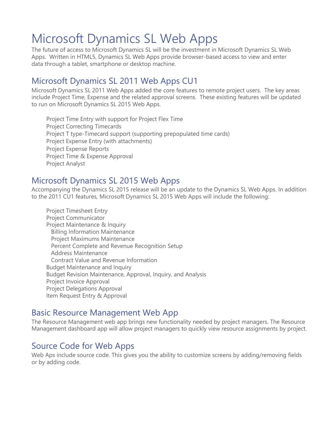# Microsoft Dynamics SL Web Apps

The future of access to Microsoft Dynamics SL will be the investment in Microsoft Dynamics SL Web Apps. Written in HTML5, Dynamics SL Web Apps provide browser-based access to view and enter data through a tablet, smartphone or desktop machine.

# Microsoft Dynamics SL 2011 Web Apps CU1

Microsoft Dynamics SL 2011 Web Apps added the core features to remote project users. The key areas include Project Time, Expense and the related approval screens. These existing features will be updated to run on Microsoft Dynamics SL 2015 Web Apps.

Project Time Entry with support for Project Flex Time Project Correcting Timecards Project T type-Timecard support (supporting prepopulated time cards) Project Expense Entry (with attachments) Project Expense Reports Project Time & Expense Approval Project Analyst

# Microsoft Dynamics SL 2015 Web Apps

Accompanying the Dynamics SL 2015 release will be an update to the Dynamics SL Web Apps. In addition to the 2011 CU1 features, Microsoft Dynamics SL 2015 Web Apps will include the following:

Project Timesheet Entry Project Communicator Project Maintenance & Inquiry Billing Information Maintenance Project Maximums Maintenance Percent Complete and Revenue Recognition Setup Address Maintenance Contract Value and Revenue Information Budget Maintenance and Inquiry Budget Revision Maintenance, Approval, Inquiry, and Analysis Project Invoice Approval Project Delegations Approval Item Request Entry & Approval

# Basic Resource Management Web App

The Resource Management web app brings new functionality needed by project managers. The Resource Management dashboard app will allow project managers to quickly view resource assignments by project.

# Source Code for Web Apps

Web Aps include source code. This gives you the ability to customize screens by adding/removing fields or by adding code.